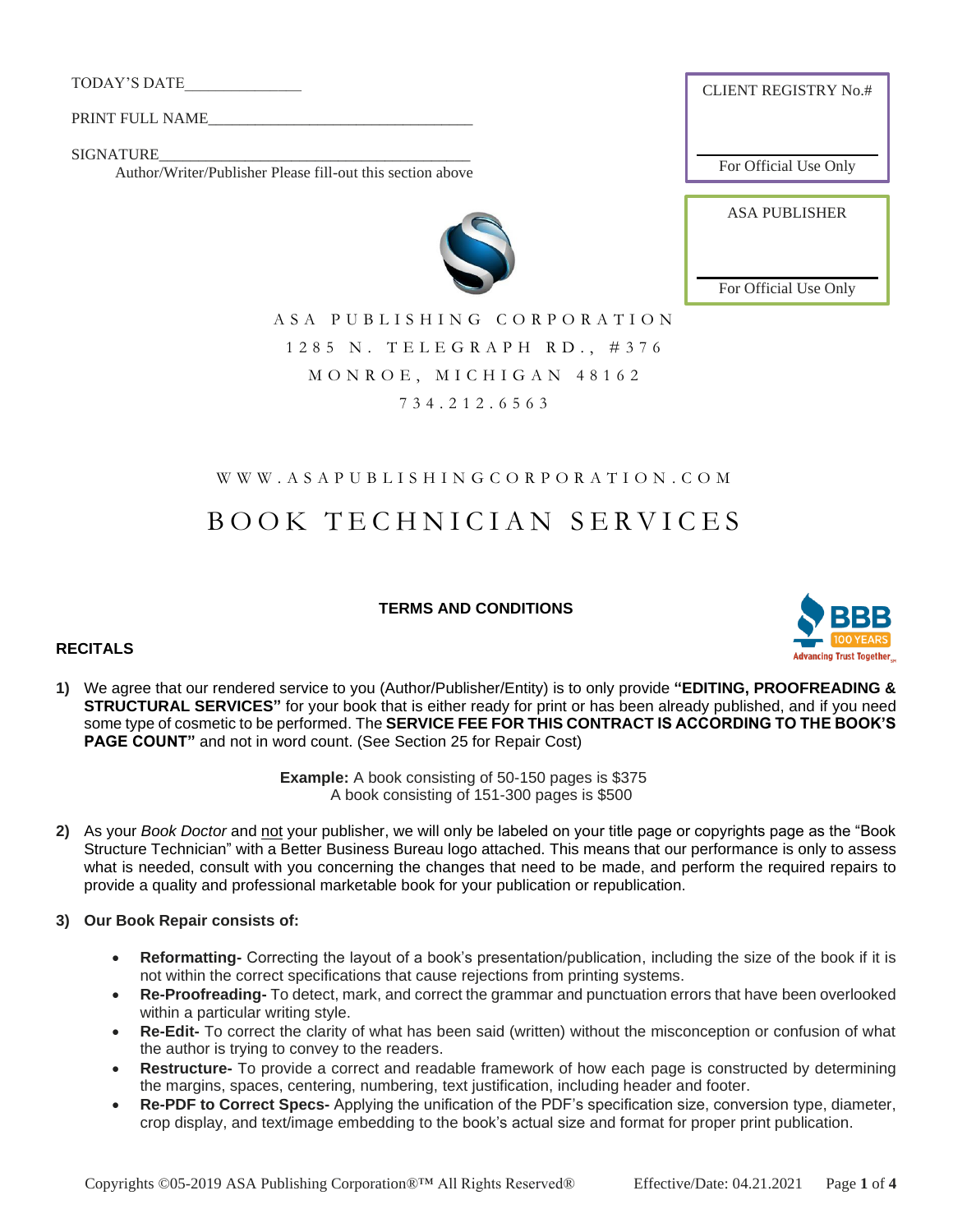TODAY'S DATE\_\_\_\_\_\_\_\_\_\_\_\_\_\_\_

PRINT FULL NAME

SIGNATURE

Author/Writer/Publisher Please fill-out this section above

CLIENT REGISTRY No.#

For Official Use Only

ASA PUBLISHER

For Official Use Only



A S A P U B L I S H I N G C O R P O R A T I O N 1 2 8 5 N . T E L E G R A P H R D . , # 3 7 6 MONROE, MICHIGAN 48162 734.2 1 2 . 6 5 6 3

## W W W . A S A P U B L I S H I N G C O R P O R A T I O N . C O M

# B O O K T E C H N I C I A N S E R V I C E S

## **TERMS AND CONDITIONS**

## **RECITALS**



**1)** We agree that our rendered service to you (Author/Publisher/Entity) is to only provide **"EDITING, PROOFREADING & STRUCTURAL SERVICES"** for your book that is either ready for print or has been already published, and if you need some type of cosmetic to be performed. The **SERVICE FEE FOR THIS CONTRACT IS ACCORDING TO THE BOOK'S PAGE COUNT"** and not in word count. (See Section 25 for Repair Cost)

> **Example:** A book consisting of 50-150 pages is \$375 A book consisting of 151-300 pages is \$500

- **2)** As your *Book Doctor* and not your publisher, we will only be labeled on your title page or copyrights page as the "Book Structure Technician" with a Better Business Bureau logo attached. This means that our performance is only to assess what is needed, consult with you concerning the changes that need to be made, and perform the required repairs to provide a quality and professional marketable book for your publication or republication.
- **3) Our Book Repair consists of:**
	- **Reformatting-** Correcting the layout of a book's presentation/publication, including the size of the book if it is not within the correct specifications that cause rejections from printing systems.
	- **Re-Proofreading-** To detect, mark, and correct the grammar and punctuation errors that have been overlooked within a particular writing style.
	- **Re-Edit-** To correct the clarity of what has been said (written) without the misconception or confusion of what the author is trying to convey to the readers.
	- **Restructure-** To provide a correct and readable framework of how each page is constructed by determining the margins, spaces, centering, numbering, text justification, including header and footer.
	- **Re-PDF to Correct Specs-** Applying the unification of the PDF's specification size, conversion type, diameter, crop display, and text/image embedding to the book's actual size and format for proper print publication.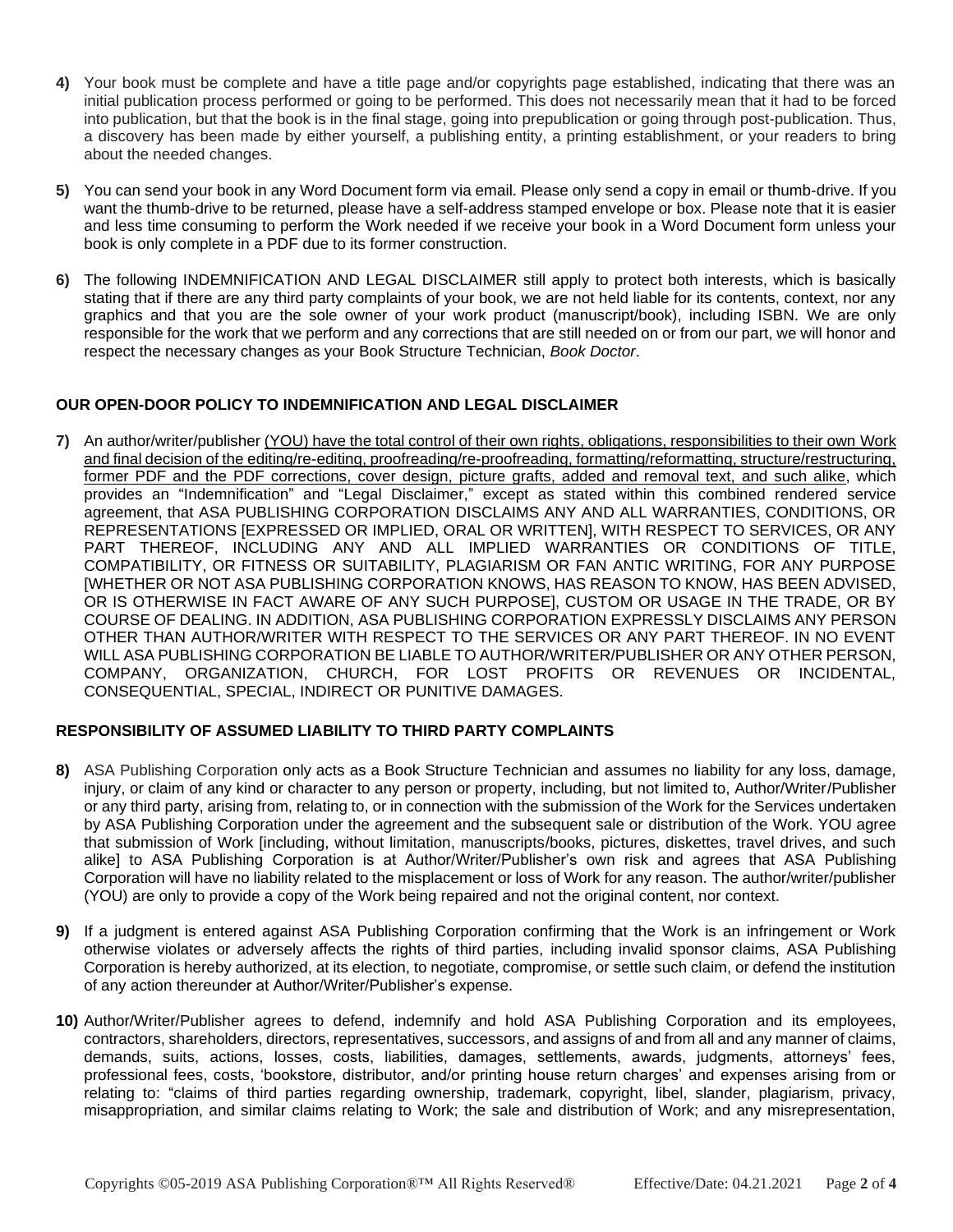- **4)** Your book must be complete and have a title page and/or copyrights page established, indicating that there was an initial publication process performed or going to be performed. This does not necessarily mean that it had to be forced into publication, but that the book is in the final stage, going into prepublication or going through post-publication. Thus, a discovery has been made by either yourself, a publishing entity, a printing establishment, or your readers to bring about the needed changes.
- **5)** You can send your book in any Word Document form via email. Please only send a copy in email or thumb-drive. If you want the thumb-drive to be returned, please have a self-address stamped envelope or box. Please note that it is easier and less time consuming to perform the Work needed if we receive your book in a Word Document form unless your book is only complete in a PDF due to its former construction.
- **6)** The following INDEMNIFICATION AND LEGAL DISCLAIMER still apply to protect both interests, which is basically stating that if there are any third party complaints of your book, we are not held liable for its contents, context, nor any graphics and that you are the sole owner of your work product (manuscript/book), including ISBN. We are only responsible for the work that we perform and any corrections that are still needed on or from our part, we will honor and respect the necessary changes as your Book Structure Technician, *Book Doctor*.

## **OUR OPEN-DOOR POLICY TO INDEMNIFICATION AND LEGAL DISCLAIMER**

**7)** An author/writer/publisher (YOU) have the total control of their own rights, obligations, responsibilities to their own Work and final decision of the editing/re-editing, proofreading/re-proofreading, formatting/reformatting, structure/restructuring, former PDF and the PDF corrections, cover design, picture grafts, added and removal text, and such alike, which provides an "Indemnification" and "Legal Disclaimer," except as stated within this combined rendered service agreement, that ASA PUBLISHING CORPORATION DISCLAIMS ANY AND ALL WARRANTIES, CONDITIONS, OR REPRESENTATIONS [EXPRESSED OR IMPLIED, ORAL OR WRITTEN], WITH RESPECT TO SERVICES, OR ANY PART THEREOF, INCLUDING ANY AND ALL IMPLIED WARRANTIES OR CONDITIONS OF TITLE, COMPATIBILITY, OR FITNESS OR SUITABILITY, PLAGIARISM OR FAN ANTIC WRITING, FOR ANY PURPOSE [WHETHER OR NOT ASA PUBLISHING CORPORATION KNOWS, HAS REASON TO KNOW, HAS BEEN ADVISED, OR IS OTHERWISE IN FACT AWARE OF ANY SUCH PURPOSE], CUSTOM OR USAGE IN THE TRADE, OR BY COURSE OF DEALING. IN ADDITION, ASA PUBLISHING CORPORATION EXPRESSLY DISCLAIMS ANY PERSON OTHER THAN AUTHOR/WRITER WITH RESPECT TO THE SERVICES OR ANY PART THEREOF. IN NO EVENT WILL ASA PUBLISHING CORPORATION BE LIABLE TO AUTHOR/WRITER/PUBLISHER OR ANY OTHER PERSON, COMPANY, ORGANIZATION, CHURCH, FOR LOST PROFITS OR REVENUES OR INCIDENTAL, CONSEQUENTIAL, SPECIAL, INDIRECT OR PUNITIVE DAMAGES.

## **RESPONSIBILITY OF ASSUMED LIABILITY TO THIRD PARTY COMPLAINTS**

- **8)** ASA Publishing Corporation only acts as a Book Structure Technician and assumes no liability for any loss, damage, injury, or claim of any kind or character to any person or property, including, but not limited to, Author/Writer/Publisher or any third party, arising from, relating to, or in connection with the submission of the Work for the Services undertaken by ASA Publishing Corporation under the agreement and the subsequent sale or distribution of the Work. YOU agree that submission of Work [including, without limitation, manuscripts/books, pictures, diskettes, travel drives, and such alike] to ASA Publishing Corporation is at Author/Writer/Publisher's own risk and agrees that ASA Publishing Corporation will have no liability related to the misplacement or loss of Work for any reason. The author/writer/publisher (YOU) are only to provide a copy of the Work being repaired and not the original content, nor context.
- **9)** If a judgment is entered against ASA Publishing Corporation confirming that the Work is an infringement or Work otherwise violates or adversely affects the rights of third parties, including invalid sponsor claims, ASA Publishing Corporation is hereby authorized, at its election, to negotiate, compromise, or settle such claim, or defend the institution of any action thereunder at Author/Writer/Publisher's expense.
- **10)** Author/Writer/Publisher agrees to defend, indemnify and hold ASA Publishing Corporation and its employees, contractors, shareholders, directors, representatives, successors, and assigns of and from all and any manner of claims, demands, suits, actions, losses, costs, liabilities, damages, settlements, awards, judgments, attorneys' fees, professional fees, costs, 'bookstore, distributor, and/or printing house return charges' and expenses arising from or relating to: "claims of third parties regarding ownership, trademark, copyright, libel, slander, plagiarism, privacy, misappropriation, and similar claims relating to Work; the sale and distribution of Work; and any misrepresentation,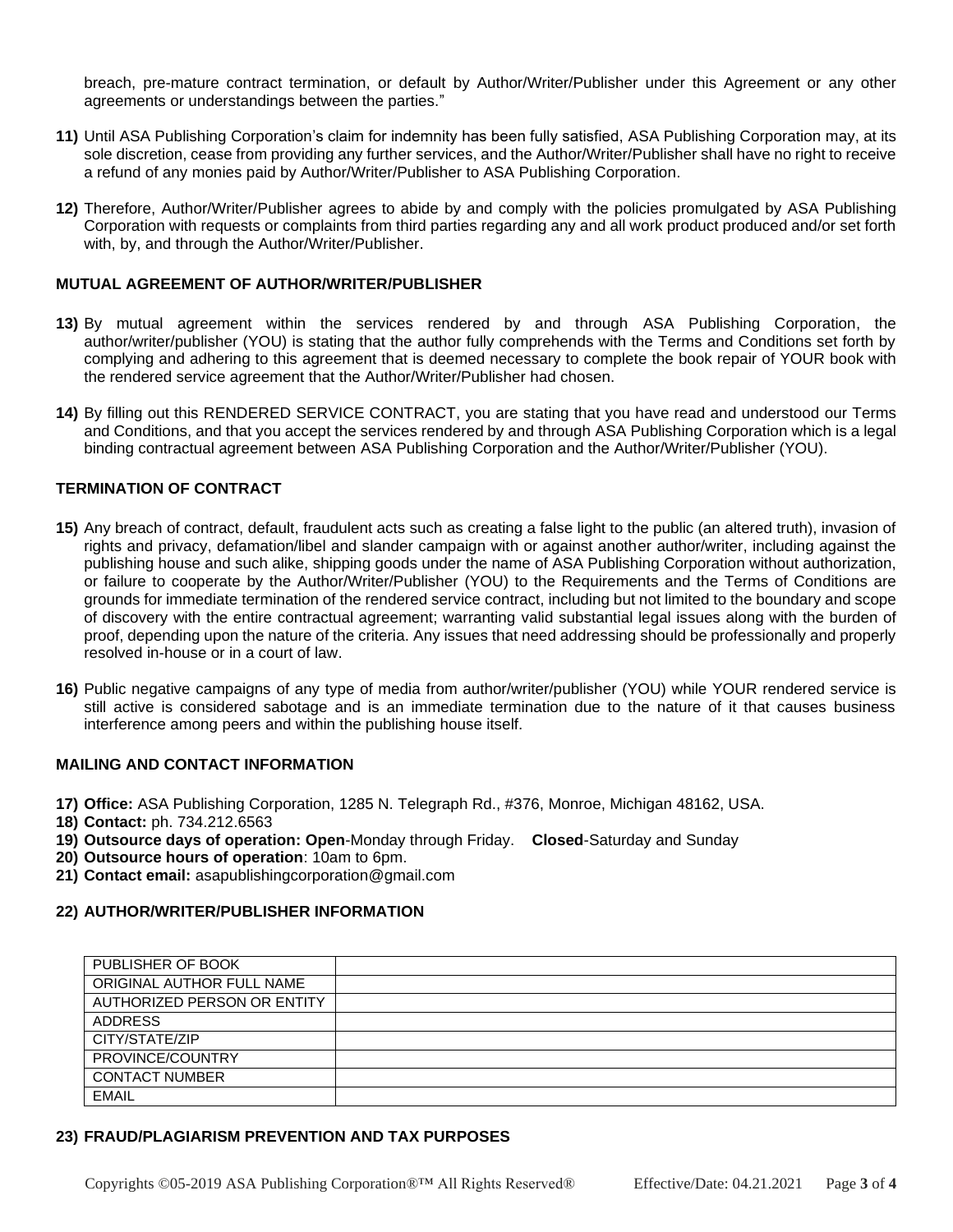breach, pre-mature contract termination, or default by Author/Writer/Publisher under this Agreement or any other agreements or understandings between the parties."

- **11)** Until ASA Publishing Corporation's claim for indemnity has been fully satisfied, ASA Publishing Corporation may, at its sole discretion, cease from providing any further services, and the Author/Writer/Publisher shall have no right to receive a refund of any monies paid by Author/Writer/Publisher to ASA Publishing Corporation.
- **12)** Therefore, Author/Writer/Publisher agrees to abide by and comply with the policies promulgated by ASA Publishing Corporation with requests or complaints from third parties regarding any and all work product produced and/or set forth with, by, and through the Author/Writer/Publisher.

## **MUTUAL AGREEMENT OF AUTHOR/WRITER/PUBLISHER**

- **13)** By mutual agreement within the services rendered by and through ASA Publishing Corporation, the author/writer/publisher (YOU) is stating that the author fully comprehends with the Terms and Conditions set forth by complying and adhering to this agreement that is deemed necessary to complete the book repair of YOUR book with the rendered service agreement that the Author/Writer/Publisher had chosen.
- **14)** By filling out this RENDERED SERVICE CONTRACT, you are stating that you have read and understood our Terms and Conditions, and that you accept the services rendered by and through ASA Publishing Corporation which is a legal binding contractual agreement between ASA Publishing Corporation and the Author/Writer/Publisher (YOU).

## **TERMINATION OF CONTRACT**

- **15)** Any breach of contract, default, fraudulent acts such as creating a false light to the public (an altered truth), invasion of rights and privacy, defamation/libel and slander campaign with or against another author/writer, including against the publishing house and such alike, shipping goods under the name of ASA Publishing Corporation without authorization, or failure to cooperate by the Author/Writer/Publisher (YOU) to the Requirements and the Terms of Conditions are grounds for immediate termination of the rendered service contract, including but not limited to the boundary and scope of discovery with the entire contractual agreement; warranting valid substantial legal issues along with the burden of proof, depending upon the nature of the criteria. Any issues that need addressing should be professionally and properly resolved in-house or in a court of law.
- **16)** Public negative campaigns of any type of media from author/writer/publisher (YOU) while YOUR rendered service is still active is considered sabotage and is an immediate termination due to the nature of it that causes business interference among peers and within the publishing house itself.

## **MAILING AND CONTACT INFORMATION**

- **17) Office:** ASA Publishing Corporation, 1285 N. Telegraph Rd., #376, Monroe, Michigan 48162, USA.
- **18) Contact:** ph. 734.212.6563
- **19) Outsource days of operation: Open**-Monday through Friday. **Closed**-Saturday and Sunday
- **20) Outsource hours of operation**: 10am to 6pm.
- **21) Contact email:** asapublishingcorporation@gmail.com

## **22) AUTHOR/WRITER/PUBLISHER INFORMATION**

| PUBLISHER OF BOOK           |  |
|-----------------------------|--|
| ORIGINAL AUTHOR FULL NAME   |  |
| AUTHORIZED PERSON OR ENTITY |  |
| <b>ADDRESS</b>              |  |
| CITY/STATE/ZIP              |  |
| PROVINCE/COUNTRY            |  |
| <b>CONTACT NUMBER</b>       |  |
| <b>EMAIL</b>                |  |

## **23) FRAUD/PLAGIARISM PREVENTION AND TAX PURPOSES**